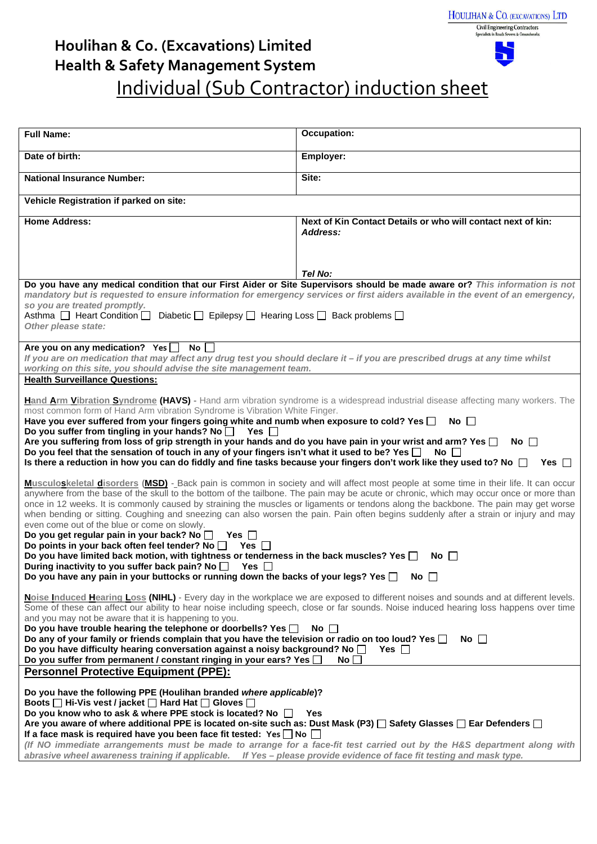| HOULIHAN & CO. (EXCAVATIONS) LTD |  |  |
|----------------------------------|--|--|
| Chill Dealpaceber Contractors    |  |  |



## **Houlihan & Co. (Excavations) Limited Health & Safety Management System** Individual (Sub Contractor) induction sheet

| <b>Full Name:</b>                                                                                                                                                                                                                                                                                                                                                                                                                                                                                                                                                                                                                                                                                                                                                                                                                                                                                                                                                                                                                                                                                                                                                                                                                                                                                                                                                                                                                                                       | <b>Occupation:</b>                                                                                                                                                                                                                                             |  |
|-------------------------------------------------------------------------------------------------------------------------------------------------------------------------------------------------------------------------------------------------------------------------------------------------------------------------------------------------------------------------------------------------------------------------------------------------------------------------------------------------------------------------------------------------------------------------------------------------------------------------------------------------------------------------------------------------------------------------------------------------------------------------------------------------------------------------------------------------------------------------------------------------------------------------------------------------------------------------------------------------------------------------------------------------------------------------------------------------------------------------------------------------------------------------------------------------------------------------------------------------------------------------------------------------------------------------------------------------------------------------------------------------------------------------------------------------------------------------|----------------------------------------------------------------------------------------------------------------------------------------------------------------------------------------------------------------------------------------------------------------|--|
| Date of birth:                                                                                                                                                                                                                                                                                                                                                                                                                                                                                                                                                                                                                                                                                                                                                                                                                                                                                                                                                                                                                                                                                                                                                                                                                                                                                                                                                                                                                                                          | Employer:                                                                                                                                                                                                                                                      |  |
| <b>National Insurance Number:</b>                                                                                                                                                                                                                                                                                                                                                                                                                                                                                                                                                                                                                                                                                                                                                                                                                                                                                                                                                                                                                                                                                                                                                                                                                                                                                                                                                                                                                                       | Site:                                                                                                                                                                                                                                                          |  |
| Vehicle Registration if parked on site:                                                                                                                                                                                                                                                                                                                                                                                                                                                                                                                                                                                                                                                                                                                                                                                                                                                                                                                                                                                                                                                                                                                                                                                                                                                                                                                                                                                                                                 |                                                                                                                                                                                                                                                                |  |
| <b>Home Address:</b>                                                                                                                                                                                                                                                                                                                                                                                                                                                                                                                                                                                                                                                                                                                                                                                                                                                                                                                                                                                                                                                                                                                                                                                                                                                                                                                                                                                                                                                    | Next of Kin Contact Details or who will contact next of kin:<br>Address:                                                                                                                                                                                       |  |
|                                                                                                                                                                                                                                                                                                                                                                                                                                                                                                                                                                                                                                                                                                                                                                                                                                                                                                                                                                                                                                                                                                                                                                                                                                                                                                                                                                                                                                                                         |                                                                                                                                                                                                                                                                |  |
|                                                                                                                                                                                                                                                                                                                                                                                                                                                                                                                                                                                                                                                                                                                                                                                                                                                                                                                                                                                                                                                                                                                                                                                                                                                                                                                                                                                                                                                                         | Tel No:                                                                                                                                                                                                                                                        |  |
|                                                                                                                                                                                                                                                                                                                                                                                                                                                                                                                                                                                                                                                                                                                                                                                                                                                                                                                                                                                                                                                                                                                                                                                                                                                                                                                                                                                                                                                                         | Do you have any medical condition that our First Aider or Site Supervisors should be made aware or? This information is not<br>mandatory but is requested to ensure information for emergency services or first aiders available in the event of an emergency, |  |
| so you are treated promptly.                                                                                                                                                                                                                                                                                                                                                                                                                                                                                                                                                                                                                                                                                                                                                                                                                                                                                                                                                                                                                                                                                                                                                                                                                                                                                                                                                                                                                                            |                                                                                                                                                                                                                                                                |  |
| Asthma $\Box$ Heart Condition $\Box$ Diabetic $\Box$ Epilepsy $\Box$ Hearing Loss $\Box$ Back problems $\Box$<br>Other please state:                                                                                                                                                                                                                                                                                                                                                                                                                                                                                                                                                                                                                                                                                                                                                                                                                                                                                                                                                                                                                                                                                                                                                                                                                                                                                                                                    |                                                                                                                                                                                                                                                                |  |
| Are you on any medication? Yes No                                                                                                                                                                                                                                                                                                                                                                                                                                                                                                                                                                                                                                                                                                                                                                                                                                                                                                                                                                                                                                                                                                                                                                                                                                                                                                                                                                                                                                       |                                                                                                                                                                                                                                                                |  |
| If you are on medication that may affect any drug test you should declare it - if you are prescribed drugs at any time whilst<br>working on this site, you should advise the site management team.                                                                                                                                                                                                                                                                                                                                                                                                                                                                                                                                                                                                                                                                                                                                                                                                                                                                                                                                                                                                                                                                                                                                                                                                                                                                      |                                                                                                                                                                                                                                                                |  |
| <b>Health Surveillance Questions:</b>                                                                                                                                                                                                                                                                                                                                                                                                                                                                                                                                                                                                                                                                                                                                                                                                                                                                                                                                                                                                                                                                                                                                                                                                                                                                                                                                                                                                                                   |                                                                                                                                                                                                                                                                |  |
| Hand Arm Vibration Syndrome (HAVS) - Hand arm vibration syndrome is a widespread industrial disease affecting many workers. The<br>most common form of Hand Arm vibration Syndrome is Vibration White Finger.<br>Have you ever suffered from your fingers going white and numb when exposure to cold? Yes $\Box$<br>No $\Box$<br>Do you suffer from tingling in your hands? No $\Box$ Yes $\Box$<br>Are you suffering from loss of grip strength in your hands and do you have pain in your wrist and arm? Yes $\Box$<br>No $\Box$<br>Do you feel that the sensation of touch in any of your fingers isn't what it used to be? Yes $\Box$<br>No $\Box$<br>Is there a reduction in how you can do fiddly and fine tasks because your fingers don't work like they used to? No $\Box$<br>$Yes \mid \mid$                                                                                                                                                                                                                                                                                                                                                                                                                                                                                                                                                                                                                                                                  |                                                                                                                                                                                                                                                                |  |
| Musculoskeletal disorders (MSD) -_Back pain is common in society and will affect most people at some time in their life. It can occur<br>anywhere from the base of the skull to the bottom of the tailbone. The pain may be acute or chronic, which may occur once or more than<br>once in 12 weeks. It is commonly caused by straining the muscles or ligaments or tendons along the backbone. The pain may get worse<br>when bending or sitting. Coughing and sneezing can also worsen the pain. Pain often begins suddenly after a strain or injury and may<br>even come out of the blue or come on slowly.<br>Do you get regular pain in your back? No □ Yes □<br>Do points in your back often feel tender? No $\Box$ Yes $\Box$<br>Do you have limited back motion, with tightness or tenderness in the back muscles? Yes $\square$<br>No II<br>During inactivity to you suffer back pain? No $\square$<br>Yes $\square$<br>Do you have any pain in your buttocks or running down the backs of your legs? Yes $\Box$ No $\Box$<br>Noise Induced Hearing Loss (NIHL) - Every day in the workplace we are exposed to different noises and sounds and at different levels.<br>Some of these can affect our ability to hear noise including speech, close or far sounds. Noise induced hearing loss happens over time<br>and you may not be aware that it is happening to you.<br>Do you have trouble hearing the telephone or doorbells? Yes $\square$<br>$No$ $\Box$ |                                                                                                                                                                                                                                                                |  |
| Do any of your family or friends complain that you have the television or radio on too loud? Yes $\square$<br>No $\Box$<br>Do you have difficulty hearing conversation against a noisy background? No $\square$<br>Yes    <br>Do you suffer from permanent / constant ringing in your ears? Yes $\Box$<br>No                                                                                                                                                                                                                                                                                                                                                                                                                                                                                                                                                                                                                                                                                                                                                                                                                                                                                                                                                                                                                                                                                                                                                            |                                                                                                                                                                                                                                                                |  |
| <b>Personnel Protective Equipment (PPE):</b>                                                                                                                                                                                                                                                                                                                                                                                                                                                                                                                                                                                                                                                                                                                                                                                                                                                                                                                                                                                                                                                                                                                                                                                                                                                                                                                                                                                                                            |                                                                                                                                                                                                                                                                |  |
| Do you have the following PPE (Houlihan branded where applicable)?<br>Boots □ Hi-Vis vest / jacket □ Hard Hat □ Gloves □<br>Do you know who to ask & where PPE stock is located? No $\Box$<br><b>Yes</b>                                                                                                                                                                                                                                                                                                                                                                                                                                                                                                                                                                                                                                                                                                                                                                                                                                                                                                                                                                                                                                                                                                                                                                                                                                                                |                                                                                                                                                                                                                                                                |  |
| Are you aware of where additional PPE is located on-site such as: Dust Mask (P3) $\Box$ Safety Glasses $\Box$ Ear Defenders $\Box$<br>If a face mask is required have you been face fit tested: Yes $\Box$ No $\Box$<br>(If NO immediate arrangements must be made to arrange for a face-fit test carried out by the H&S department along with<br>abrasive wheel awareness training if applicable. If Yes - please provide evidence of face fit testing and mask type.                                                                                                                                                                                                                                                                                                                                                                                                                                                                                                                                                                                                                                                                                                                                                                                                                                                                                                                                                                                                  |                                                                                                                                                                                                                                                                |  |